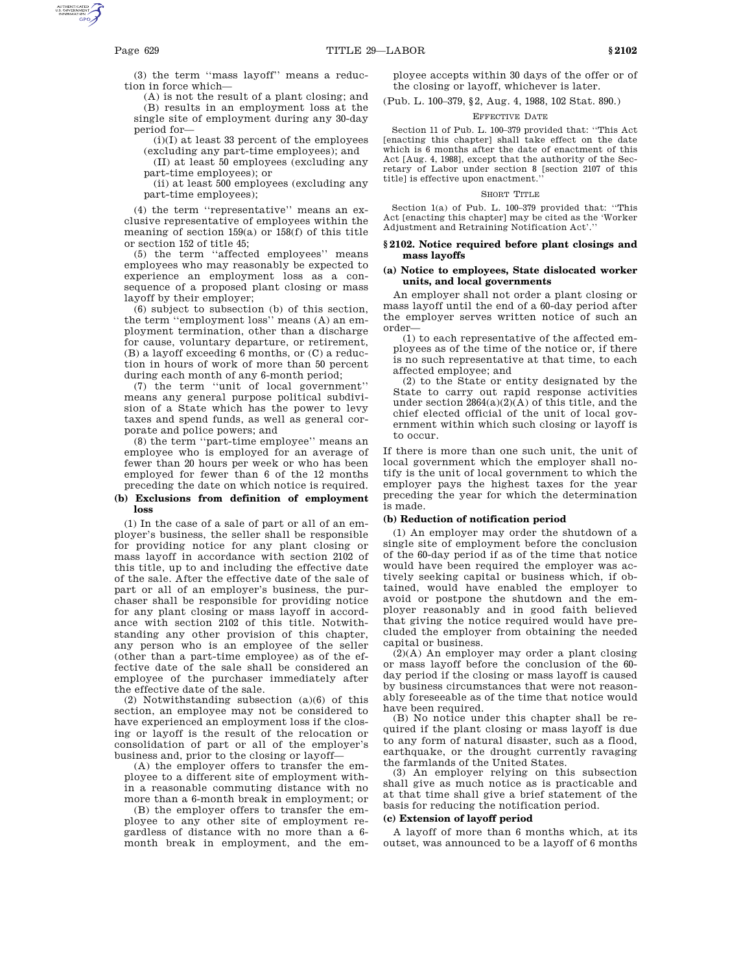(3) the term ''mass layoff'' means a reduction in force which—

(A) is not the result of a plant closing; and (B) results in an employment loss at the single site of employment during any 30-day period for—

 $(i)(I)$  at least 33 percent of the employees (excluding any part-time employees); and

(II) at least 50 employees (excluding any part-time employees); or

(ii) at least 500 employees (excluding any part-time employees);

(4) the term ''representative'' means an exclusive representative of employees within the meaning of section 159(a) or 158(f) of this title or section 152 of title 45;

(5) the term ''affected employees'' means employees who may reasonably be expected to experience an employment loss as a consequence of a proposed plant closing or mass layoff by their employer;

(6) subject to subsection (b) of this section, the term ''employment loss'' means (A) an employment termination, other than a discharge for cause, voluntary departure, or retirement, (B) a layoff exceeding 6 months, or (C) a reduction in hours of work of more than 50 percent during each month of any 6-month period;

(7) the term ''unit of local government'' means any general purpose political subdivision of a State which has the power to levy taxes and spend funds, as well as general corporate and police powers; and

(8) the term ''part-time employee'' means an employee who is employed for an average of fewer than 20 hours per week or who has been employed for fewer than 6 of the 12 months preceding the date on which notice is required.

## **(b) Exclusions from definition of employment loss**

(1) In the case of a sale of part or all of an employer's business, the seller shall be responsible for providing notice for any plant closing or mass layoff in accordance with section 2102 of this title, up to and including the effective date of the sale. After the effective date of the sale of part or all of an employer's business, the purchaser shall be responsible for providing notice for any plant closing or mass layoff in accordance with section 2102 of this title. Notwithstanding any other provision of this chapter, any person who is an employee of the seller (other than a part-time employee) as of the effective date of the sale shall be considered an employee of the purchaser immediately after the effective date of the sale.

(2) Notwithstanding subsection (a)(6) of this section, an employee may not be considered to have experienced an employment loss if the closing or layoff is the result of the relocation or consolidation of part or all of the employer's business and, prior to the closing or layoff—

(A) the employer offers to transfer the employee to a different site of employment within a reasonable commuting distance with no more than a 6-month break in employment; or

(B) the employer offers to transfer the employee to any other site of employment regardless of distance with no more than a 6 month break in employment, and the employee accepts within 30 days of the offer or of the closing or layoff, whichever is later.

(Pub. L. 100–379, §2, Aug. 4, 1988, 102 Stat. 890.)

## EFFECTIVE DATE

Section 11 of Pub. L. 100–379 provided that: ''This Act [enacting this chapter] shall take effect on the date which is 6 months after the date of enactment of this Act [Aug. 4, 1988], except that the authority of the Secretary of Labor under section 8 [section 2107 of this title] is effective upon enactment.''

#### SHORT TITLE

Section 1(a) of Pub. L. 100–379 provided that: ''This Act [enacting this chapter] may be cited as the 'Worker Adjustment and Retraining Notification Act'.

## **§ 2102. Notice required before plant closings and mass layoffs**

## **(a) Notice to employees, State dislocated worker units, and local governments**

An employer shall not order a plant closing or mass layoff until the end of a 60-day period after the employer serves written notice of such an order—

(1) to each representative of the affected employees as of the time of the notice or, if there is no such representative at that time, to each affected employee; and

(2) to the State or entity designated by the State to carry out rapid response activities under section  $2864(a)(2)(A)$  of this title, and the chief elected official of the unit of local government within which such closing or layoff is to occur.

If there is more than one such unit, the unit of local government which the employer shall notify is the unit of local government to which the employer pays the highest taxes for the year preceding the year for which the determination is made.

# **(b) Reduction of notification period**

(1) An employer may order the shutdown of a single site of employment before the conclusion of the 60-day period if as of the time that notice would have been required the employer was actively seeking capital or business which, if obtained, would have enabled the employer to avoid or postpone the shutdown and the employer reasonably and in good faith believed that giving the notice required would have precluded the employer from obtaining the needed capital or business.

 $(2)(A)$  An employer may order a plant closing or mass layoff before the conclusion of the 60 day period if the closing or mass layoff is caused by business circumstances that were not reasonably foreseeable as of the time that notice would have been required.

(B) No notice under this chapter shall be required if the plant closing or mass layoff is due to any form of natural disaster, such as a flood, earthquake, or the drought currently ravaging the farmlands of the United States.

(3) An employer relying on this subsection shall give as much notice as is practicable and at that time shall give a brief statement of the basis for reducing the notification period.

#### **(c) Extension of layoff period**

A layoff of more than 6 months which, at its outset, was announced to be a layoff of 6 months